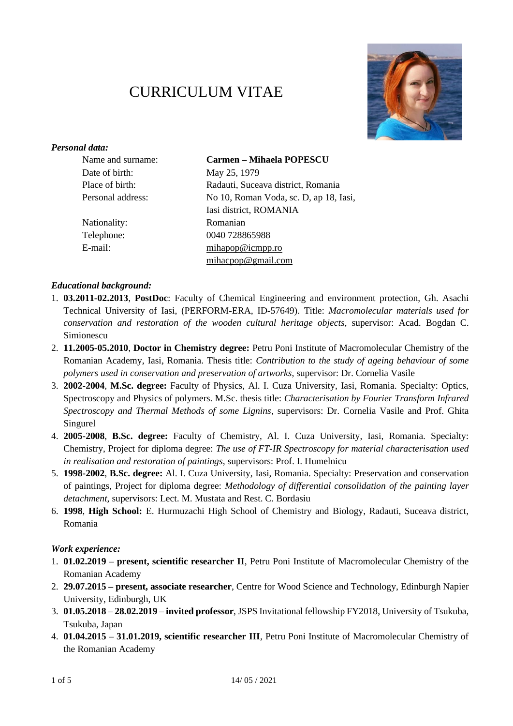# CURRICULUM VITAE



## *Personal data:*

| Name and surname: | <b>Carmen - Mihaela POPESCU</b>        |
|-------------------|----------------------------------------|
| Date of birth:    | May 25, 1979                           |
| Place of birth:   | Radauti, Suceava district, Romania     |
| Personal address: | No 10, Roman Voda, sc. D, ap 18, Iasi, |
|                   | Iasi district, ROMANIA                 |
| Nationality:      | Romanian                               |
| Telephone:        | 0040 728865988                         |
| E-mail:           | $min$ apop@icmpp.ro                    |
|                   | mihacpop@gmail.com                     |

#### *Educational background:*

- 1. **03.2011-02.2013**, **PostDoc**: Faculty of Chemical Engineering and environment protection, Gh. Asachi Technical University of Iasi, (PERFORM-ERA, ID-57649). Title: *Macromolecular materials used for conservation and restoration of the wooden cultural heritage objects*, supervisor: Acad. Bogdan C. Simionescu
- 2. **11.2005-05.2010**, **Doctor in Chemistry degree:** Petru Poni Institute of Macromolecular Chemistry of the Romanian Academy, Iasi, Romania. Thesis title: *Contribution to the study of ageing behaviour of some polymers used in conservation and preservation of artworks*, supervisor: Dr. Cornelia Vasile
- 3. **2002-2004**, **M.Sc. degree:** Faculty of Physics, Al. I. Cuza University, Iasi, Romania. Specialty: Optics, Spectroscopy and Physics of polymers. M.Sc. thesis title: *Characterisation by Fourier Transform Infrared Spectroscopy and Thermal Methods of some Lignins*, supervisors: Dr. Cornelia Vasile and Prof. Ghita Singurel
- 4. **2005-2008**, **B.Sc. degree:** Faculty of Chemistry, Al. I. Cuza University, Iasi, Romania. Specialty: Chemistry, Project for diploma degree: *The use of FT-IR Spectroscopy for material characterisation used in realisation and restoration of paintings*, supervisors: Prof. I. Humelnicu
- 5. **1998-2002**, **B.Sc. degree:** Al. I. Cuza University, Iasi, Romania. Specialty: Preservation and conservation of paintings, Project for diploma degree: *Methodology of differential consolidation of the painting layer detachment*, supervisors: Lect. M. Mustata and Rest. C. Bordasiu
- 6. **1998**, **High School:** E. Hurmuzachi High School of Chemistry and Biology, Radauti, Suceava district, Romania

#### *Work experience:*

- 1. **01.02.2019 – present, scientific researcher II**, Petru Poni Institute of Macromolecular Chemistry of the Romanian Academy
- 2. **29.07.2015 – present, associate researcher**, Centre for Wood Science and Technology, Edinburgh Napier University, Edinburgh, UK
- 3. **01.05.2018 – 28.02.2019 – invited professor**, JSPS Invitational fellowship FY2018, University of Tsukuba, Tsukuba, Japan
- 4. **01.04.2015 – 31.01.2019, scientific researcher III**, Petru Poni Institute of Macromolecular Chemistry of the Romanian Academy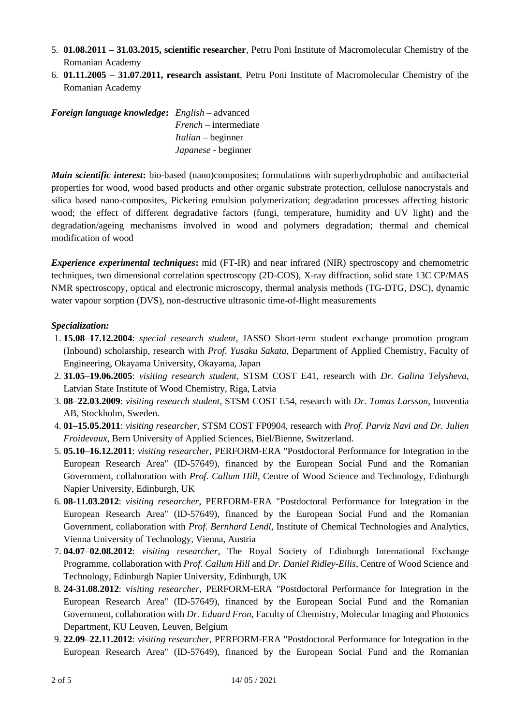- 5. **01.08.2011 – 31.03.2015, scientific researcher**, Petru Poni Institute of Macromolecular Chemistry of the Romanian Academy
- 6. **01.11.2005 – 31.07.2011, research assistant**, Petru Poni Institute of Macromolecular Chemistry of the Romanian Academy

| <b>Foreign language knowledge:</b> English – advanced |                            |
|-------------------------------------------------------|----------------------------|
|                                                       | $French-intermediate$      |
|                                                       | $Italian - beginner$       |
|                                                       | <i>Japanese</i> - beginner |

*Main scientific interest***:** bio-based (nano)composites; formulations with superhydrophobic and antibacterial properties for wood, wood based products and other organic substrate protection, cellulose nanocrystals and silica based nano-composites, Pickering emulsion polymerization; degradation processes affecting historic wood; the effect of different degradative factors (fungi, temperature, humidity and UV light) and the degradation/ageing mechanisms involved in wood and polymers degradation; thermal and chemical modification of wood

*Experience experimental techniques***:** mid (FT-IR) and near infrared (NIR) spectroscopy and chemometric techniques, two dimensional correlation spectroscopy (2D-COS), X-ray diffraction, solid state 13C CP/MAS NMR spectroscopy, optical and electronic microscopy, thermal analysis methods (TG-DTG, DSC), dynamic water vapour sorption (DVS), non-destructive ultrasonic time-of-flight measurements

## *Specialization:*

- 1. **15.08–17.12.2004**: *special research student*, JASSO Short-term student exchange promotion program (Inbound) scholarship, research with *Prof. Yusaku Sakata*, Department of Applied Chemistry, Faculty of Engineering, Okayama University, Okayama, Japan
- 2. **31.05–19.06.2005**: *visiting research student*, STSM COST E41, research with *Dr. Galina Telysheva*, Latvian State Institute of Wood Chemistry, Riga, Latvia
- 3. **08–22.03.2009**: *visiting research student*, STSM COST E54, research with *Dr. Tomas Larsson*, Innventia AB, Stockholm, Sweden.
- 4. **01–15.05.2011**: *visiting researcher*, STSM COST FP0904, research with *Prof. Parviz Navi and Dr. Julien Froidevaux*, Bern University of Applied Sciences, Biel/Bienne, Switzerland.
- 5. **05.10–16.12.2011**: *visiting researcher*, PERFORM-ERA "Postdoctoral Performance for Integration in the European Research Area" (ID-57649), financed by the European Social Fund and the Romanian Government, collaboration with *Prof. Callum Hill*, Centre of Wood Science and Technology, Edinburgh Napier University, Edinburgh, UK
- 6. **08-11.03.2012**: *visiting researcher*, PERFORM-ERA "Postdoctoral Performance for Integration in the European Research Area" (ID-57649), financed by the European Social Fund and the Romanian Government, collaboration with *Prof. Bernhard Lendl,* Institute of Chemical Technologies and Analytics, Vienna University of Technology, Vienna, Austria
- 7. **04.07–02.08.2012**: *visiting researcher*, The Royal Society of Edinburgh International Exchange Programme, collaboration with *Prof. Callum Hill* and *Dr. Daniel Ridley-Ellis*, Centre of Wood Science and Technology, Edinburgh Napier University, Edinburgh, UK
- 8. **24-31.08.2012**: v*isiting researcher*, PERFORM-ERA "Postdoctoral Performance for Integration in the European Research Area" (ID-57649), financed by the European Social Fund and the Romanian Government, collaboration with *Dr. Eduard Fron*, Faculty of Chemistry, Molecular Imaging and Photonics Department, KU Leuven, Leuven, Belgium
- 9. **22.09–22.11.2012**: *visiting researcher*, PERFORM-ERA "Postdoctoral Performance for Integration in the European Research Area" (ID-57649), financed by the European Social Fund and the Romanian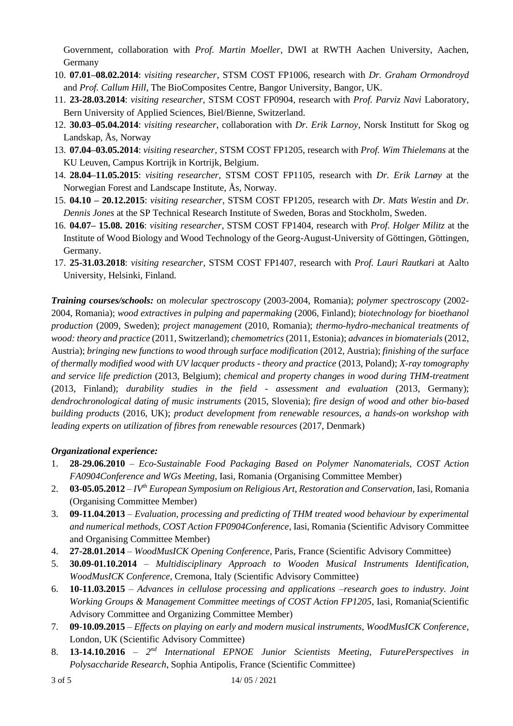Government, collaboration with *Prof. Martin Moeller*, DWI at RWTH Aachen University, Aachen, Germany

- 10. **07.01–08.02.2014**: *visiting researcher*, STSM COST FP1006, research with *Dr. Graham Ormondroyd* and *Prof. Callum Hill*, The BioComposites Centre, Bangor University, Bangor, UK.
- 11. **23-28.03.2014**: *visiting researcher*, STSM COST FP0904, research with *Prof. Parviz Navi* Laboratory, Bern University of Applied Sciences, Biel/Bienne, Switzerland.
- 12. **30.03–05.04.2014**: *visiting researcher*, collaboration with *Dr. Erik Larnoy*, Norsk Institutt for Skog og Landskap, Ås, Norway
- 13. **07.04–03.05.2014**: *visiting researcher*, STSM COST FP1205, research with *Prof. Wim Thielemans* at the KU Leuven, Campus Kortrijk in Kortrijk, Belgium.
- 14. **28.04–11.05.2015**: *visiting researcher*, STSM COST FP1105, research with *Dr. Erik Larnøy* at the Norwegian Forest and Landscape Institute, Ås, Norway.
- 15. **04.10 – 20.12.2015**: *visiting researcher*, STSM COST FP1205, research with *Dr. Mats Westin* and *Dr. Dennis Jones* at the SP Technical Research Institute of Sweden, Boras and Stockholm, Sweden.
- 16. **04.07– 15.08. 2016**: *visiting researcher*, STSM COST FP1404, research with *Prof. Holger Militz* at the Institute of Wood Biology and Wood Technology of the Georg-August-University of Göttingen, Göttingen, Germany.
- 17. **25-31.03.2018**: *visiting researcher*, STSM COST FP1407, research with *Prof. Lauri Rautkari* at Aalto University, Helsinki, Finland.

*Training courses/schools:* on *molecular spectroscopy* (2003-2004, Romania); *polymer spectroscopy* (2002- 2004, Romania); *wood extractives in pulping and papermaking* (2006, Finland); *biotechnology for bioethanol production* (2009, Sweden); *project management* (2010, Romania); *thermo-hydro-mechanical treatments of wood: theory and practice* (2011, Switzerland); *chemometrics* (2011, Estonia); *advances in biomaterials*(2012, Austria); *bringing new functions to wood through surface modification* (2012, Austria); *finishing of the surface of thermally modified wood with UV lacquer products - theory and practice* (2013, Poland); *X-ray tomography and service life prediction* (2013, Belgium); *chemical and property changes in wood during THM-treatment* (2013, Finland); *durability studies in the field - assessment and evaluation* (2013, Germany); *dendrochronological dating of music instruments* (2015, Slovenia); *fire design of wood and other bio-based building products* (2016, UK); *product development from renewable resources, a hands-on workshop with leading experts on utilization of fibres from renewable resources* (2017, Denmark)

## *Organizational experience:*

- 1. **28-29.06.2010** *Eco-Sustainable Food Packaging Based on Polymer Nanomaterials, COST Action FA0904Conference and WGs Meeting*, Iasi, Romania (Organising Committee Member)
- 2. **03-05.05.2012** *IVth European Symposium on Religious Art, Restoration and Conservation*, Iasi, Romania (Organising Committee Member)
- 3. **09-11.04.2013** *Evaluation, processing and predicting of THM treated wood behaviour by experimental and numerical methods, COST Action FP0904Conference*, Iasi, Romania (Scientific Advisory Committee and Organising Committee Member)
- 4. **27-28.01.2014** *WoodMusICK Opening Conference*, Paris, France (Scientific Advisory Committee)
- 5. **30.09-01.10.2014** *Multidisciplinary Approach to Wooden Musical Instruments Identification, WoodMusICK Conference*, Cremona, Italy (Scientific Advisory Committee)
- 6. **10-11.03.2015** *Advances in cellulose processing and applications –research goes to industry. Joint Working Groups & Management Committee meetings of COST Action FP1205*, Iasi, Romania(Scientific Advisory Committee and Organizing Committee Member)
- 7. **09-10.09.2015** *Effects on playing on early and modern musical instruments*, *WoodMusICK Conference*, London, UK (Scientific Advisory Committee)
- 8. **13-14.10.2016** 2<sup>nd</sup> International EPNOE Junior Scientists Meeting, FuturePerspectives in *Polysaccharide Research*, Sophia Antipolis, France (Scientific Committee)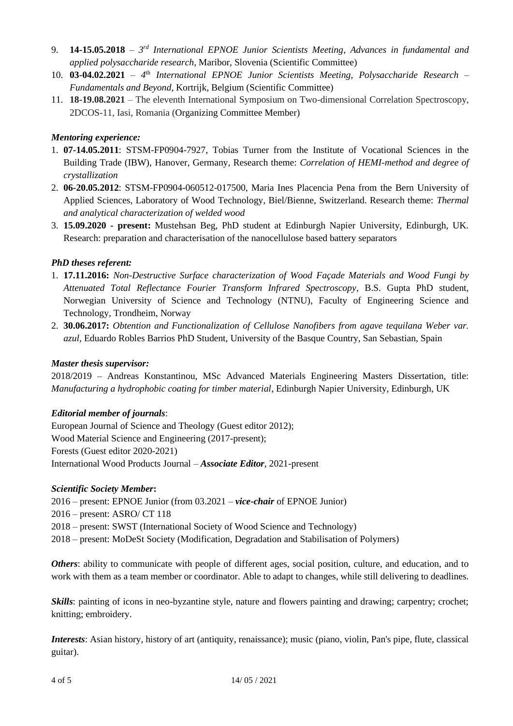- 9. **14-15.05.2018** *3 rd International EPNOE Junior Scientists Meeting*, *Advances in fundamental and applied polysaccharide research*, Maribor, Slovenia (Scientific Committee)
- 10. **03-04.02.2021** *4* th *International EPNOE Junior Scientists Meeting*, *Polysaccharide Research – Fundamentals and Beyond*, Kortrijk, Belgium (Scientific Committee)
- 11. **18-19.08.2021** The eleventh International Symposium on Two-dimensional Correlation Spectroscopy, 2DCOS-11, Iasi, Romania (Organizing Committee Member)

## *Mentoring experience:*

- 1. **07-14.05.2011**: STSM-FP0904-7927, Tobias Turner from the Institute of Vocational Sciences in the Building Trade (IBW), Hanover, Germany, Research theme: *Correlation of HEMI-method and degree of crystallization*
- 2. **06-20.05.2012**: STSM-FP0904-060512-017500, Maria Ines Placencia Pena from the Bern University of Applied Sciences, Laboratory of Wood Technology, Biel/Bienne, Switzerland. Research theme: *Thermal and analytical characterization of welded wood*
- 3. **15.09.2020 - present:** Mustehsan Beg, PhD student at Edinburgh Napier University, Edinburgh, UK. Research: preparation and characterisation of the nanocellulose based battery separators

## *PhD theses referent:*

- 1. **17.11.2016:** *Non-Destructive Surface characterization of Wood Façade Materials and Wood Fungi by Attenuated Total Reflectance Fourier Transform Infrared Spectroscopy*, B.S. Gupta PhD student, Norwegian University of Science and Technology (NTNU), Faculty of Engineering Science and Technology, Trondheim, Norway
- 2. **30.06.2017:** *Obtention and Functionalization of Cellulose Nanofibers from agave tequilana Weber var. azul,* Eduardo Robles Barrios PhD Student, University of the Basque Country, San Sebastian, Spain

## *Master thesis supervisor:*

2018/2019 – Andreas Konstantinou, MSc Advanced Materials Engineering Masters Dissertation, title: *Manufacturing a hydrophobic coating for timber material*, Edinburgh Napier University, Edinburgh, UK

## *Editorial member of journals*:

European Journal of Science and Theology (Guest editor 2012); Wood Material Science and Engineering (2017-present); Forests (Guest editor 2020-2021) International Wood Products Journal – *Associate Editor*, 2021-present

## *Scientific Society Member***:**

2016 – present: EPNOE Junior (from 03.2021 – *vice-chair* of EPNOE Junior)

- 2016 present: ASRO/ CT 118
- 2018 present: SWST (International Society of Wood Science and Technology)
- 2018 present: MoDeSt Society (Modification, Degradation and Stabilisation of Polymers)

*Others*: ability to communicate with people of different ages, social position, culture, and education, and to work with them as a team member or coordinator. Able to adapt to changes, while still delivering to deadlines.

*Skills*: painting of icons in neo-byzantine style, nature and flowers painting and drawing; carpentry; crochet; knitting; embroidery.

*Interests*: Asian history, history of art (antiquity, renaissance); music (piano, violin, Pan's pipe, flute, classical guitar).